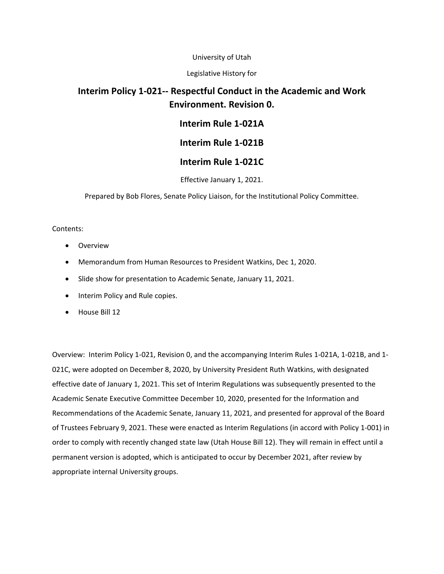#### University of Utah

#### Legislative History for

#### **Interim Policy 1‐021‐‐ Respectful Conduct in the Academic and Work Environment. Revision 0.**

#### **Interim Rule 1‐021A**

#### **Interim Rule 1‐021B**

#### **Interim Rule 1‐021C**

#### Effective January 1, 2021.

Prepared by Bob Flores, Senate Policy Liaison, for the Institutional Policy Committee.

#### Contents:

- **•** Overview
- Memorandum from Human Resources to President Watkins, Dec 1, 2020.
- Slide show for presentation to Academic Senate, January 11, 2021.
- Interim Policy and Rule copies.
- House Bill 12

Overview: Interim Policy 1‐021, Revision 0, and the accompanying Interim Rules 1‐021A, 1‐021B, and 1‐ 021C, were adopted on December 8, 2020, by University President Ruth Watkins, with designated effective date of January 1, 2021. This set of Interim Regulations was subsequently presented to the Academic Senate Executive Committee December 10, 2020, presented for the Information and Recommendations of the Academic Senate, January 11, 2021, and presented for approval of the Board of Trustees February 9, 2021. These were enacted as Interim Regulations (in accord with Policy 1‐001) in order to comply with recently changed state law (Utah House Bill 12). They will remain in effect until a permanent version is adopted, which is anticipated to occur by December 2021, after review by appropriate internal University groups.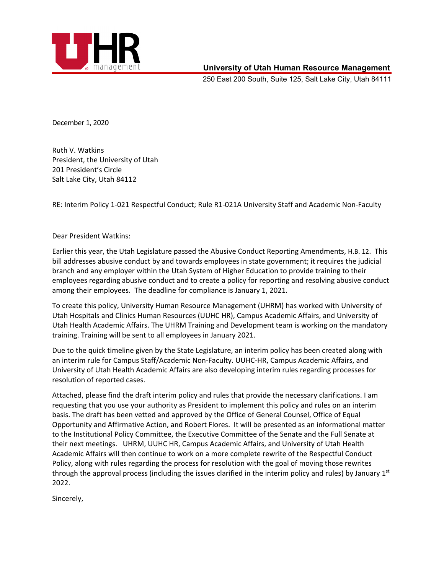

#### **University of Utah Human Resource Management**

250 East 200 South, Suite 125, Salt Lake City, Utah 84111

December 1, 2020

Ruth V. Watkins President, the University of Utah 201 President's Circle Salt Lake City, Utah 84112

RE: Interim Policy 1‐021 Respectful Conduct; Rule R1‐021A University Staff and Academic Non‐Faculty

#### Dear President Watkins:

Earlier this year, the Utah Legislature passed the Abusive Conduct Reporting Amendments, H.B. 12. This bill addresses abusive conduct by and towards employees in state government; it requires the judicial branch and any employer within the Utah System of Higher Education to provide training to their employees regarding abusive conduct and to create a policy for reporting and resolving abusive conduct among their employees. The deadline for compliance is January 1, 2021.

To create this policy, University Human Resource Management (UHRM) has worked with University of Utah Hospitals and Clinics Human Resources (UUHC HR), Campus Academic Affairs, and University of Utah Health Academic Affairs. The UHRM Training and Development team is working on the mandatory training. Training will be sent to all employees in January 2021.

Due to the quick timeline given by the State Legislature, an interim policy has been created along with an interim rule for Campus Staff/Academic Non‐Faculty. UUHC‐HR, Campus Academic Affairs, and University of Utah Health Academic Affairs are also developing interim rules regarding processes for resolution of reported cases.

Attached, please find the draft interim policy and rules that provide the necessary clarifications. I am requesting that you use your authority as President to implement this policy and rules on an interim basis. The draft has been vetted and approved by the Office of General Counsel, Office of Equal Opportunity and Affirmative Action, and Robert Flores. It will be presented as an informational matter to the Institutional Policy Committee, the Executive Committee of the Senate and the Full Senate at their next meetings. UHRM, UUHC HR, Campus Academic Affairs, and University of Utah Health Academic Affairs will then continue to work on a more complete rewrite of the Respectful Conduct Policy, along with rules regarding the process for resolution with the goal of moving those rewrites through the approval process (including the issues clarified in the interim policy and rules) by January  $1<sup>st</sup>$ 2022.

Sincerely,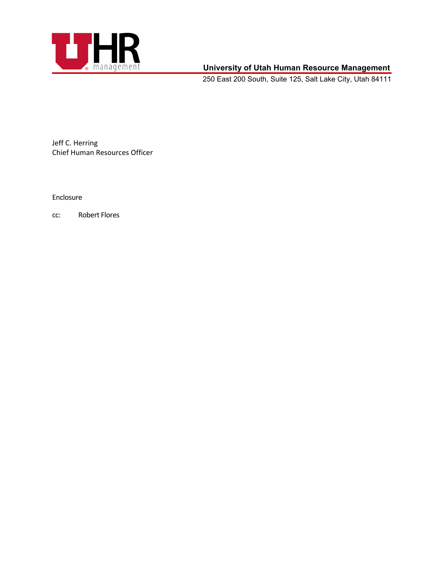

#### **University of Utah Human Resource Management**

250 East 200 South, Suite 125, Salt Lake City, Utah 84111

Jeff C. Herring Chief Human Resources Officer

Enclosure

cc: Robert Flores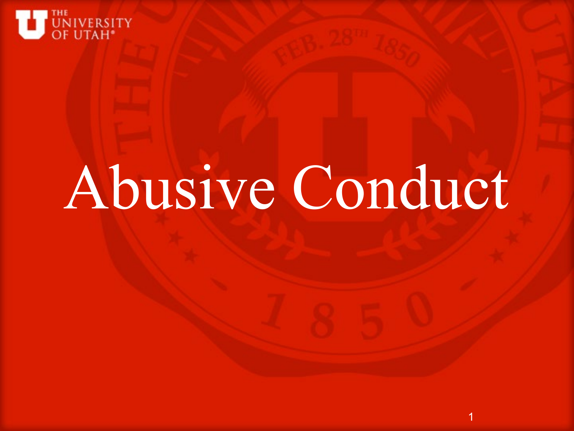

# Abusive Conduct

1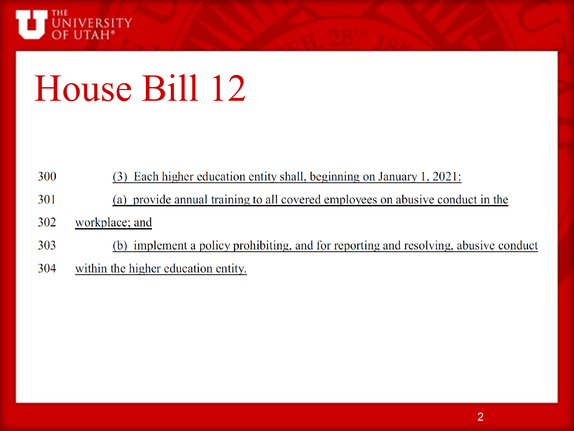

## House Bill 12

| 300 | (3) Each higher education entity shall, beginning on January 1, 2021: |
|-----|-----------------------------------------------------------------------|
|-----|-----------------------------------------------------------------------|

- 301 (a) provide annual training to all covered employees on abusive conduct in the
- 302 workplace; and
- (b) implement a policy prohibiting, and for reporting and resolving, abusive conduct 303
- 304 within the higher education entity.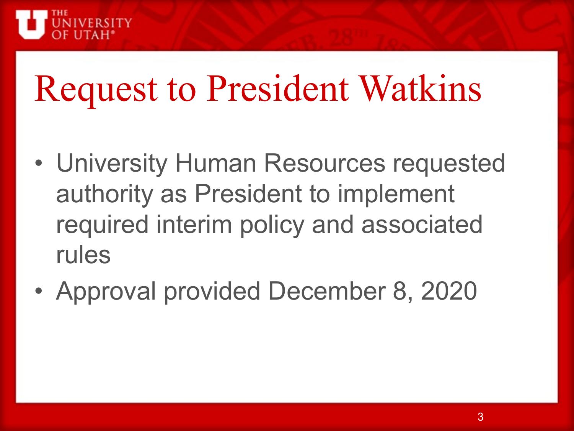

## Request to President Watkins

- University Human Resources requested authority as President to implement required interim policy and associated rules
- Approval provided December 8, 2020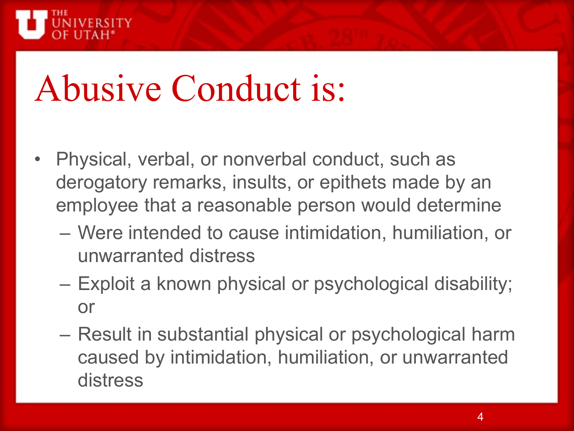

## Abusive Conduct is:

- Physical, verbal, or nonverbal conduct, such as derogatory remarks, insults, or epithets made by an employee that a reasonable person would determine
	- Were intended to cause intimidation, humiliation, or unwarranted distress
	- Exploit a known physical or psychological disability; or
	- Result in substantial physical or psychological harm caused by intimidation, humiliation, or unwarranted distress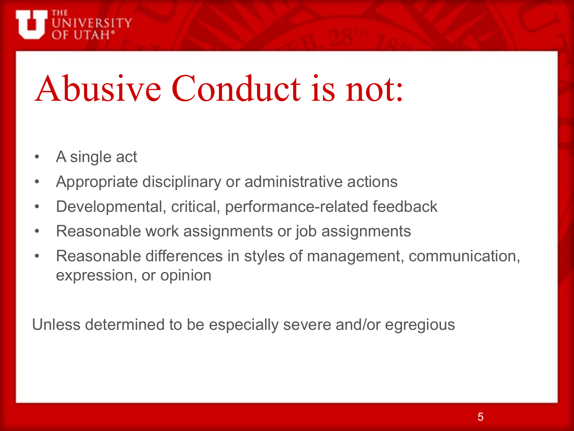

## Abusive Conduct is not:

- A single act
- Appropriate disciplinary or administrative actions
- Developmental, critical, performance-related feedback
- Reasonable work assignments or job assignments
- Reasonable differences in styles of management, communication, expression, or opinion

Unless determined to be especially severe and/or egregious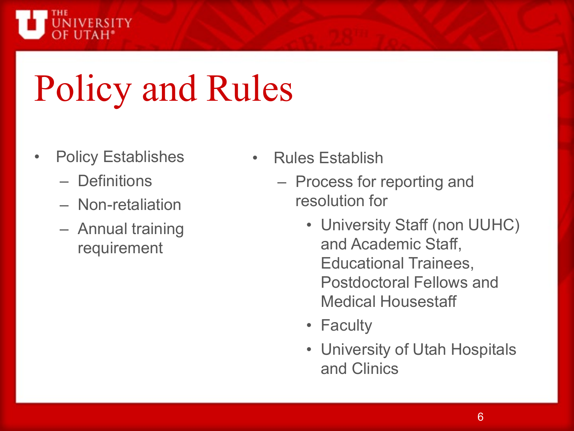

## Policy and Rules

- Policy Establishes
	- Definitions
	- Non-retaliation
	- Annual training requirement
- Rules Establish
	- Process for reporting and resolution for
		- University Staff (non UUHC) and Academic Staff, Educational Trainees, Postdoctoral Fellows and Medical Housestaff
		- Faculty
		- University of Utah Hospitals and Clinics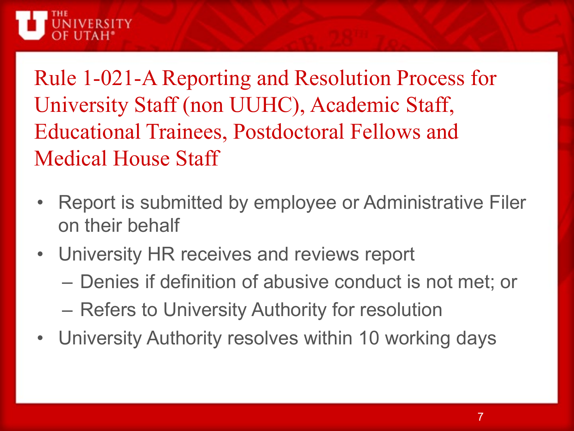

Rule 1-021-A Reporting and Resolution Process for University Staff (non UUHC), Academic Staff, Educational Trainees, Postdoctoral Fellows and Medical House Staff

- Report is submitted by employee or Administrative Filer on their behalf
- University HR receives and reviews report
	- Denies if definition of abusive conduct is not met; or
	- Refers to University Authority for resolution
- University Authority resolves within 10 working days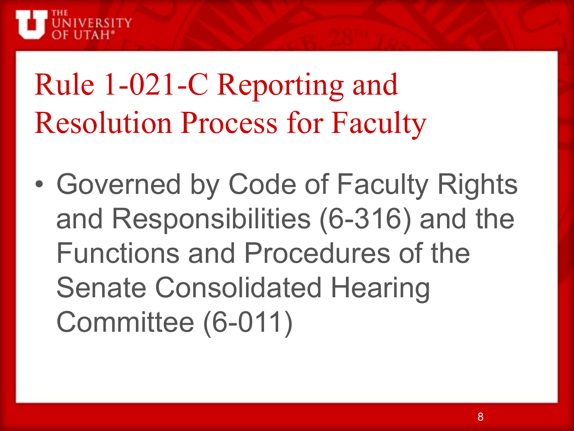

## Rule 1-021-C Reporting and Resolution Process for Faculty

• Governed by Code of Faculty Rights and Responsibilities (6-316) and the Functions and Procedures of the Senate Consolidated Hearing Committee (6-011)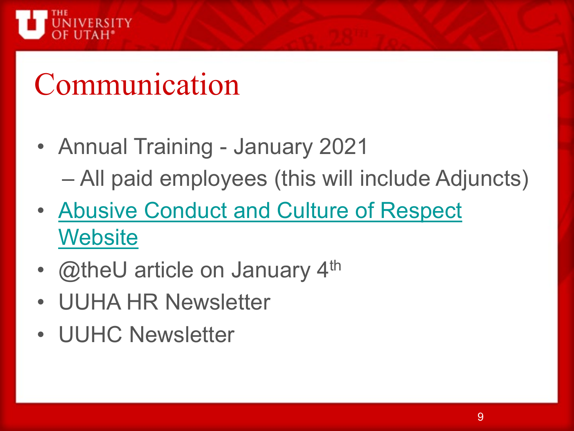

## Communication

- Annual Training January 2021 – All paid employees (this will include Adjuncts)
- [Abusive Conduct and Culture of Respect](https://www.hr.utah.edu/serviceTeams/Abusive_Conduct.php)  **Website**
- @theU article on January 4<sup>th</sup>
- UUHA HR Newsletter
- UUHC Newsletter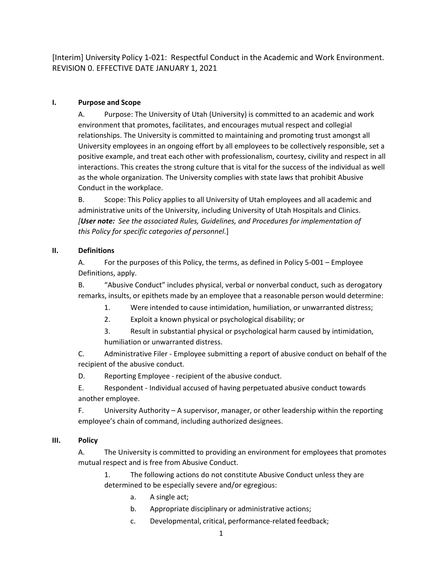[Interim] University Policy 1‐021: Respectful Conduct in the Academic and Work Environment. REVISION 0. EFFECTIVE DATE JANUARY 1, 2021

#### **I. Purpose and Scope**

A. Purpose: The University of Utah (University) is committed to an academic and work environment that promotes, facilitates, and encourages mutual respect and collegial relationships. The University is committed to maintaining and promoting trust amongst all University employees in an ongoing effort by all employees to be collectively responsible, set a positive example, and treat each other with professionalism, courtesy, civility and respect in all interactions. This creates the strong culture that is vital for the success of the individual as well as the whole organization. The University complies with state laws that prohibit Abusive Conduct in the workplace.

B. Scope: This Policy applies to all University of Utah employees and all academic and administrative units of the University, including University of Utah Hospitals and Clinics. *[User note: See the associated Rules, Guidelines, and Procedures for implementation of this Policy for specific categories of personnel.*]

#### **II. Definitions**

A. For the purposes of this Policy, the terms, as defined in Policy 5‐001 – Employee Definitions, apply.

B. "Abusive Conduct" includes physical, verbal or nonverbal conduct, such as derogatory remarks, insults, or epithets made by an employee that a reasonable person would determine:

- 1. Were intended to cause intimidation, humiliation, or unwarranted distress;
- 2. Exploit a known physical or psychological disability; or
- 3. Result in substantial physical or psychological harm caused by intimidation, humiliation or unwarranted distress.

C. Administrative Filer ‐ Employee submitting a report of abusive conduct on behalf of the recipient of the abusive conduct.

D. Reporting Employee ‐ recipient of the abusive conduct.

E. Respondent ‐ Individual accused of having perpetuated abusive conduct towards another employee.

F. University Authority – A supervisor, manager, or other leadership within the reporting employee's chain of command, including authorized designees.

#### **III. Policy**

A. The University is committed to providing an environment for employees that promotes mutual respect and is free from Abusive Conduct.

1. The following actions do not constitute Abusive Conduct unless they are determined to be especially severe and/or egregious:

- a. A single act;
- b. Appropriate disciplinary or administrative actions;
- c. Developmental, critical, performance‐related feedback;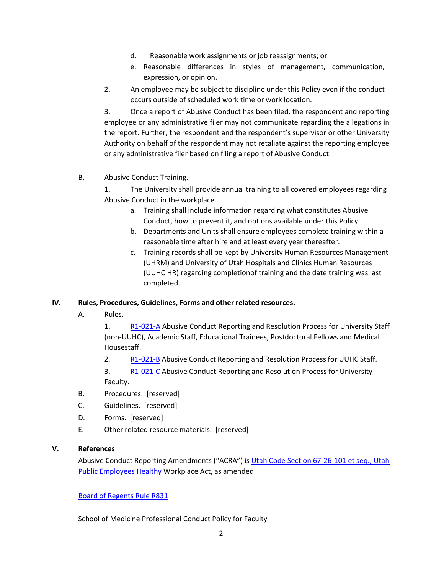- d. Reasonable work assignments or job reassignments; or
- e. Reasonable differences in styles of management, communication, expression, or opinion.
- 2. An employee may be subject to discipline under this Policy even if the conduct occurs outside of scheduled work time or work location.

3. Once a report of Abusive Conduct has been filed, the respondent and reporting employee or any administrative filer may not communicate regarding the allegations in the report. Further, the respondent and the respondent's supervisor or other University Authority on behalf of the respondent may not retaliate against the reporting employee or any administrative filer based on filing a report of Abusive Conduct.

B. Abusive Conduct Training.

1. The University shall provide annual training to all covered employees regarding Abusive Conduct in the workplace.

- a. Training shall include information regarding what constitutes Abusive Conduct, how to prevent it, and options available under this Policy.
- b. Departments and Units shall ensure employees complete training within a reasonable time after hire and at least every year thereafter.
- c. Training records shall be kept by University Human Resources Management (UHRM) and University of Utah Hospitals and Clinics Human Resources (UUHC HR) regarding completionof training and the date training was last completed.

#### **IV. Rules, Procedures, Guidelines, Forms and other related resources.**

A. Rules.

1. R1-021-A Abusive Conduct Reporting and Resolution Process for University Staff (non‐UUHC), Academic Staff, Educational Trainees, Postdoctoral Fellows and Medical Housestaff.

- 2. R1‐021‐B Abusive Conduct Reporting and Resolution Process for UUHC Staff.
- 3. R1-021-C Abusive Conduct Reporting and Resolution Process for University Faculty.
- B. Procedures. [reserved]
- C. Guidelines. [reserved]
- D. Forms. [reserved]
- E. Other related resource materials. [reserved]

#### **V. References**

Abusive Conduct Reporting Amendments ("ACRA") is Utah Code Section 67‐26‐101 et seq., Utah Public Employees Healthy Workplace Act, as amended

#### Board of Regents Rule R831

School of Medicine Professional Conduct Policy for Faculty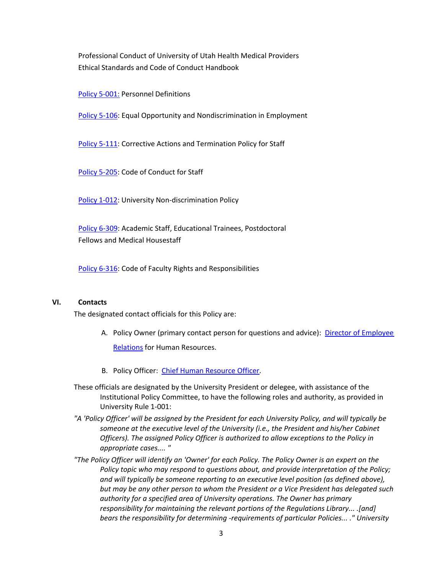Professional Conduct of University of Utah Health Medical Providers Ethical Standards and Code of Conduct Handbook

Policy 5‐001: Personnel Definitions

Policy 5-106: Equal Opportunity and Nondiscrimination in Employment

Policy 5‐111: Corrective Actions and Termination Policy for Staff

Policy 5‐205: Code of Conduct for Staff

Policy 1‐012: University Non‐discrimination Policy

Policy 6‐309: Academic Staff, Educational Trainees, Postdoctoral Fellows and Medical Housestaff

Policy 6-316: Code of Faculty Rights and Responsibilities

#### **VI. Contacts**

The designated contact officials for this Policy are:

- A. Policy Owner (primary contact person for questions and advice): Director of Employee Relations for Human Resources.
- B. Policy Officer: Chief Human Resource Officer.
- These officials are designated by the University President or delegee, with assistance of the Institutional Policy Committee, to have the following roles and authority, as provided in University Rule 1‐001:
- *"A 'Policy Officer' will be assigned by the President for each University Policy, and will typically be someone at the executive level of the University (i.e., the President and his/her Cabinet Officers). The assigned Policy Officer is authorized to allow exceptions to the Policy in appropriate cases.... "*
- *"The Policy Officer will identify an 'Owner' for each Policy. The Policy Owner is an expert on the Policy topic who may respond to questions about, and provide interpretation of the Policy; and will typically be someone reporting to an executive level position (as defined above), but may be any other person to whom the President or a Vice President has delegated such authority for a specified area of University operations. The Owner has primary responsibility for maintaining the relevant portions of the Regulations Library... .[and] bears the responsibility for determining ‐requirements of particular Policies... ." University*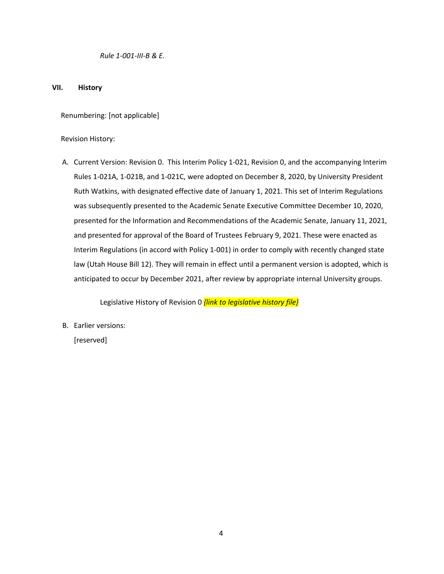*Rule 1‐001‐III‐B & E.*

#### **VII. History**

Renumbering: [not applicable]

Revision History:

A. Current Version: Revision 0. This Interim Policy 1‐021, Revision 0, and the accompanying Interim Rules 1‐021A, 1‐021B, and 1‐021C, were adopted on December 8, 2020, by University President Ruth Watkins, with designated effective date of January 1, 2021. This set of Interim Regulations was subsequently presented to the Academic Senate Executive Committee December 10, 2020, presented for the Information and Recommendations of the Academic Senate, January 11, 2021, and presented for approval of the Board of Trustees February 9, 2021. These were enacted as Interim Regulations (in accord with Policy 1‐001) in order to comply with recently changed state law (Utah House Bill 12). They will remain in effect until a permanent version is adopted, which is anticipated to occur by December 2021, after review by appropriate internal University groups.

Legislative History of Revision 0 *{link to legislative history file}*

B. Earlier versions:

[reserved]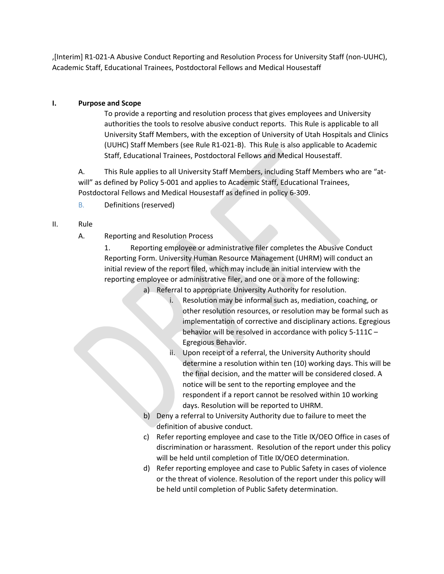,[Interim] R1-021-A Abusive Conduct Reporting and Resolution Process for University Staff (non-UUHC), Academic Staff, Educational Trainees, Postdoctoral Fellows and Medical Housestaff

#### **I. Purpose and Scope**

To provide a reporting and resolution process that gives employees and University authorities the tools to resolve abusive conduct reports. This Rule is applicable to all University Staff Members, with the exception of University of Utah Hospitals and Clinics (UUHC) Staff Members (see Rule R1-021-B). This Rule is also applicable to Academic Staff, Educational Trainees, Postdoctoral Fellows and Medical Housestaff.

A. This Rule applies to all University Staff Members, including Staff Members who are "atwill" as defined by Policy 5-001 and applies to Academic Staff, Educational Trainees, Postdoctoral Fellows and Medical Housestaff as defined in policy 6-309.

B. Definitions (reserved)

#### II. Rule

A. Reporting and Resolution Process

1. Reporting employee or administrative filer completes the Abusive Conduct Reporting Form. University Human Resource Management (UHRM) will conduct an initial review of the report filed, which may include an initial interview with the reporting employee or administrative filer, and one or a more of the following:

- a) Referral to appropriate University Authority for resolution.
	- i. Resolution may be informal such as, mediation, coaching, or other resolution resources, or resolution may be formal such as implementation of corrective and disciplinary actions. Egregious behavior will be resolved in accordance with policy 5-111C – Egregious Behavior.
	- ii. Upon receipt of a referral, the University Authority should determine a resolution within ten (10) working days. This will be the final decision, and the matter will be considered closed. A notice will be sent to the reporting employee and the respondent if a report cannot be resolved within 10 working days. Resolution will be reported to UHRM.
- b) Deny a referral to University Authority due to failure to meet the definition of abusive conduct.
- c) Refer reporting employee and case to the Title IX/OEO Office in cases of discrimination or harassment. Resolution of the report under this policy will be held until completion of Title IX/OEO determination.
- d) Refer reporting employee and case to Public Safety in cases of violence or the threat of violence. Resolution of the report under this policy will be held until completion of Public Safety determination.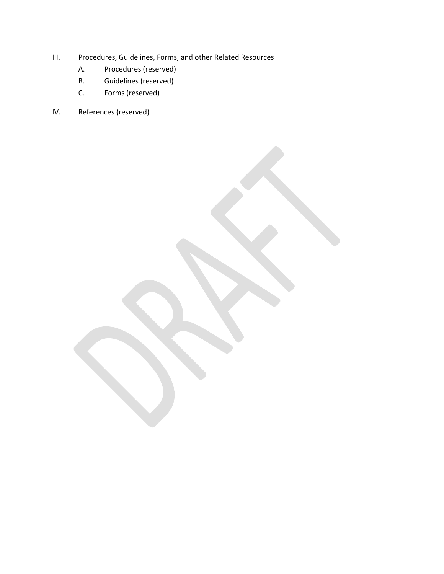- III. Procedures, Guidelines, Forms, and other Related Resources
	- A. Procedures (reserved)
	- B. Guidelines (reserved)
	- C. Forms (reserved)
- IV. References (reserved)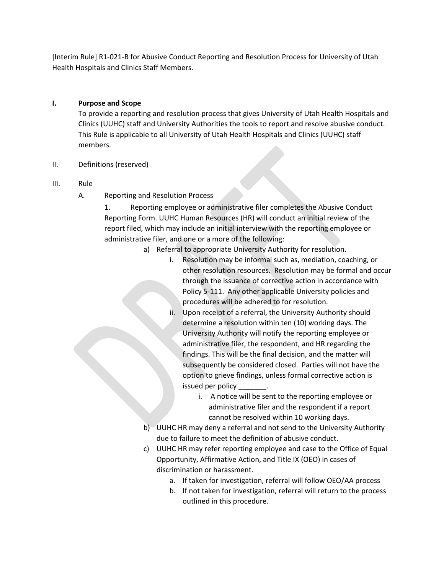[Interim Rule] R1-021-B for Abusive Conduct Reporting and Resolution Process for University of Utah Health Hospitals and Clinics Staff Members.

#### **I. Purpose and Scope**

To provide a reporting and resolution process that gives University of Utah Health Hospitals and Clinics (UUHC) staff and University Authorities the tools to report and resolve abusive conduct. This Rule is applicable to all University of Utah Health Hospitals and Clinics (UUHC) staff members.

II. Definitions (reserved)

#### III. Rule

A. Reporting and Resolution Process

1. Reporting employee or administrative filer completes the Abusive Conduct Reporting Form. UUHC Human Resources (HR) will conduct an initial review of the report filed, which may include an initial interview with the reporting employee or administrative filer, and one or a more of the following:

- a) Referral to appropriate University Authority for resolution.
	- i. Resolution may be informal such as, mediation, coaching, or other resolution resources. Resolution may be formal and occur through the issuance of corrective action in accordance with Policy 5-111. Any other applicable University policies and procedures will be adhered to for resolution.
	- ii. Upon receipt of a referral, the University Authority should determine a resolution within ten (10) working days. The University Authority will notify the reporting employee or administrative filer, the respondent, and HR regarding the findings. This will be the final decision, and the matter will subsequently be considered closed. Parties will not have the option to grieve findings, unless formal corrective action is issued per policy
		- i. A notice will be sent to the reporting employee or administrative filer and the respondent if a report cannot be resolved within 10 working days.
- b) UUHC HR may deny a referral and not send to the University Authority due to failure to meet the definition of abusive conduct.
- c) UUHC HR may refer reporting employee and case to the Office of Equal Opportunity, Affirmative Action, and Title IX (OEO) in cases of discrimination or harassment.
	- a. If taken for investigation, referral will follow OEO/AA process
	- b. If not taken for investigation, referral will return to the process outlined in this procedure.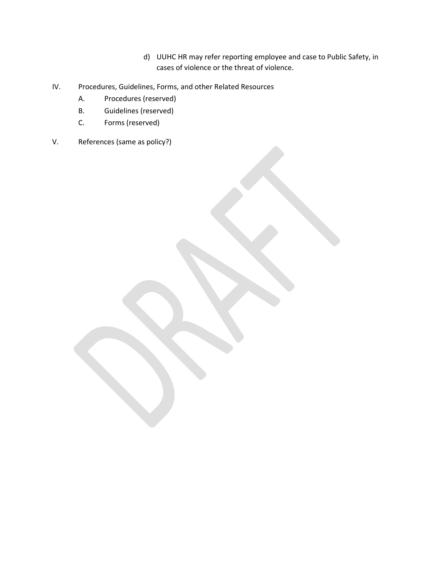- d) UUHC HR may refer reporting employee and case to Public Safety, in cases of violence or the threat of violence.
- IV. Procedures, Guidelines, Forms, and other Related Resources
	- A. Procedures (reserved)
	- B. Guidelines (reserved)
	- C. Forms (reserved)
- V. References (same as policy?)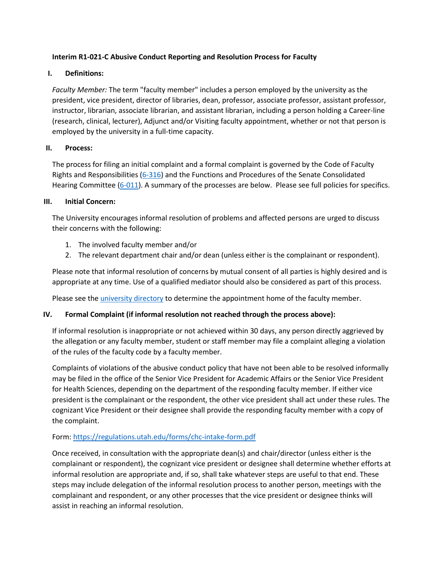#### **Interim R1-021-C Abusive Conduct Reporting and Resolution Process for Faculty**

#### **I. Definitions:**

*Faculty Member:* The term "faculty member" includes a person employed by the university as the president, vice president, director of libraries, dean, professor, associate professor, assistant professor, instructor, librarian, associate librarian, and assistant librarian, including a person holding a Career-line (research, clinical, lecturer), Adjunct and/or Visiting faculty appointment, whether or not that person is employed by the university in a full-time capacity.

#### **II. Process:**

The process for filing an initial complaint and a formal complaint is governed by the Code of Faculty Rights and Responsibilities [\(6-316\)](https://regulations.utah.edu/academics/6-316.php) and the Functions and Procedures of the Senate Consolidated Hearing Committee [\(6-011\)](https://regulations.utah.edu/academics/6-011.php). A summary of the processes are below. Please see full policies for specifics.

#### **III. Initial Concern:**

The University encourages informal resolution of problems and affected persons are urged to discuss their concerns with the following:

- 1. The involved faculty member and/or
- 2. The relevant department chair and/or dean (unless either is the complainant or respondent).

Please note that informal resolution of concerns by mutual consent of all parties is highly desired and is appropriate at any time. Use of a qualified mediator should also be considered as part of this process.

Please see the *university directory* to determine the appointment home of the faculty member.

#### **IV. Formal Complaint (if informal resolution not reached through the process above):**

If informal resolution is inappropriate or not achieved within 30 days, any person directly aggrieved by the allegation or any faculty member, student or staff member may file a complaint alleging a violation of the rules of the faculty code by a faculty member.

Complaints of violations of the abusive conduct policy that have not been able to be resolved informally may be filed in the office of the Senior Vice President for Academic Affairs or the Senior Vice President for Health Sciences, depending on the department of the responding faculty member. If either vice president is the complainant or the respondent, the other vice president shall act under these rules. The cognizant Vice President or their designee shall provide the responding faculty member with a copy of the complaint.

#### Form:<https://regulations.utah.edu/forms/chc-intake-form.pdf>

Once received, in consultation with the appropriate dean(s) and chair/director (unless either is the complainant or respondent), the cognizant vice president or designee shall determine whether efforts at informal resolution are appropriate and, if so, shall take whatever steps are useful to that end. These steps may include delegation of the informal resolution process to another person, meetings with the complainant and respondent, or any other processes that the vice president or designee thinks will assist in reaching an informal resolution.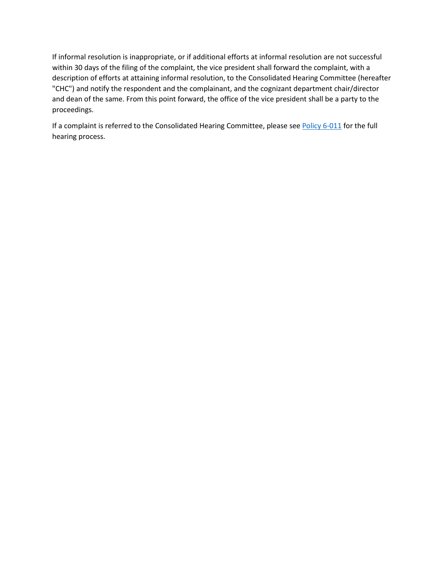If informal resolution is inappropriate, or if additional efforts at informal resolution are not successful within 30 days of the filing of the complaint, the vice president shall forward the complaint, with a description of efforts at attaining informal resolution, to the Consolidated Hearing Committee (hereafter "CHC") and notify the respondent and the complainant, and the cognizant department chair/director and dean of the same. From this point forward, the office of the vice president shall be a party to the proceedings.

If a complaint is referred to the Consolidated Hearing Committee, please se[e Policy 6-011](https://regulations.utah.edu/academics/6-011.php) for the full hearing process.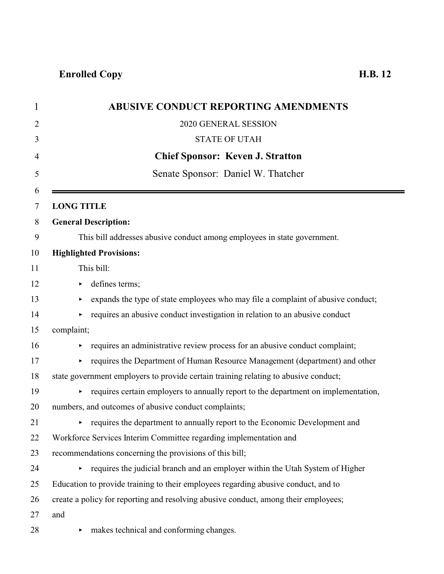|                   | <b>ABUSIVE CONDUCT REPORTING AMENDMENTS</b>                                         |
|-------------------|-------------------------------------------------------------------------------------|
|                   | 2020 GENERAL SESSION                                                                |
|                   | <b>STATE OF UTAH</b>                                                                |
|                   | <b>Chief Sponsor: Keven J. Stratton</b>                                             |
|                   | Senate Sponsor: Daniel W. Thatcher                                                  |
| <b>LONG TITLE</b> |                                                                                     |
|                   | <b>General Description:</b>                                                         |
|                   | This bill addresses abusive conduct among employees in state government.            |
|                   | <b>Highlighted Provisions:</b>                                                      |
|                   | This bill:                                                                          |
|                   | defines terms;                                                                      |
| ▶                 | expands the type of state employees who may file a complaint of abusive conduct;    |
|                   | requires an abusive conduct investigation in relation to an abusive conduct         |
| complaint;        |                                                                                     |
|                   | requires an administrative review process for an abusive conduct complaint;         |
| Þ.                | requires the Department of Human Resource Management (department) and other         |
|                   | state government employers to provide certain training relating to abusive conduct; |
| Þ.                | requires certain employers to annually report to the department on implementation,  |
|                   | numbers, and outcomes of abusive conduct complaints;                                |
|                   | requires the department to annually report to the Economic Development and          |
|                   | Workforce Services Interim Committee regarding implementation and                   |
|                   | recommendations concerning the provisions of this bill;                             |
|                   | • requires the judicial branch and an employer within the Utah System of Higher     |
|                   | Education to provide training to their employees regarding abusive conduct, and to  |
|                   | create a policy for reporting and resolving abusive conduct, among their employees; |
| and               |                                                                                     |
| ▶                 | makes technical and conforming changes.                                             |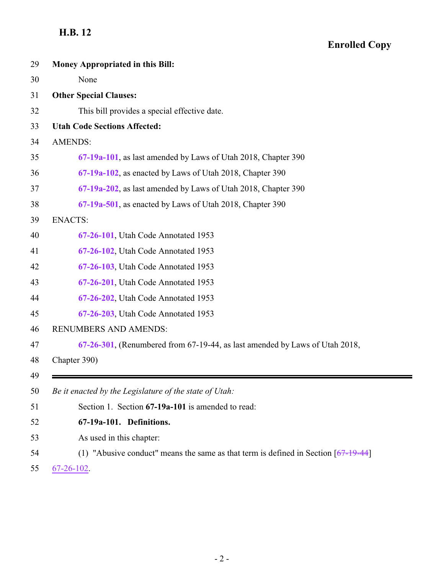## **Enrolled Copy**

<span id="page-23-0"></span>

i,

| 29 | <b>Money Appropriated in this Bill:</b>                                              |
|----|--------------------------------------------------------------------------------------|
| 30 | None                                                                                 |
| 31 | <b>Other Special Clauses:</b>                                                        |
| 32 | This bill provides a special effective date.                                         |
| 33 | <b>Utah Code Sections Affected:</b>                                                  |
| 34 | <b>AMENDS:</b>                                                                       |
| 35 | 67-19a-101, as last amended by Laws of Utah 2018, Chapter 390                        |
| 36 | 67-19a-102, as enacted by Laws of Utah 2018, Chapter 390                             |
| 37 | 67-19a-202, as last amended by Laws of Utah 2018, Chapter 390                        |
| 38 | 67-19a-501, as enacted by Laws of Utah 2018, Chapter 390                             |
| 39 | <b>ENACTS:</b>                                                                       |
| 40 | 67-26-101, Utah Code Annotated 1953                                                  |
| 41 | 67-26-102, Utah Code Annotated 1953                                                  |
| 42 | 67-26-103, Utah Code Annotated 1953                                                  |
| 43 | 67-26-201, Utah Code Annotated 1953                                                  |
| 44 | 67-26-202, Utah Code Annotated 1953                                                  |
| 45 | 67-26-203, Utah Code Annotated 1953                                                  |
| 46 | <b>RENUMBERS AND AMENDS:</b>                                                         |
| 47 | $67-26-301$ , (Renumbered from 67-19-44, as last amended by Laws of Utah 2018,       |
| 48 | Chapter 390)                                                                         |
| 49 |                                                                                      |
| 50 | Be it enacted by the Legislature of the state of Utah:                               |
| 51 | Section 1. Section 67-19a-101 is amended to read:                                    |
| 52 | 67-19a-101. Definitions.                                                             |
| 53 | As used in this chapter:                                                             |
| 54 | (1) "Abusive conduct" means the same as that term is defined in Section $[67-19-44]$ |
| 55 | $67 - 26 - 102$ .                                                                    |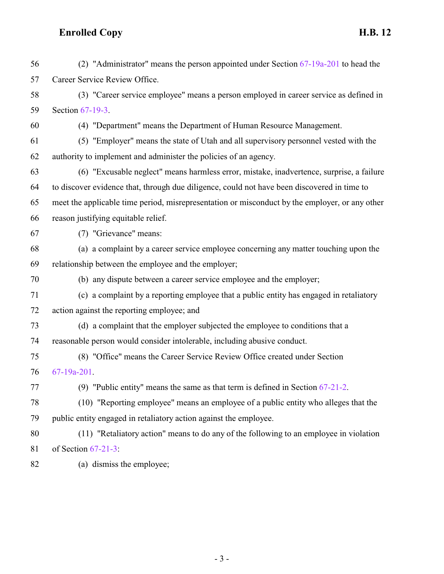| 56 | (2) "Administrator" means the person appointed under Section $67-19a-201$ to head the          |
|----|------------------------------------------------------------------------------------------------|
| 57 | Career Service Review Office.                                                                  |
| 58 | (3) "Career service employee" means a person employed in career service as defined in          |
| 59 | Section 67-19-3.                                                                               |
| 60 | (4) "Department" means the Department of Human Resource Management.                            |
| 61 | (5) "Employer" means the state of Utah and all supervisory personnel vested with the           |
| 62 | authority to implement and administer the policies of an agency.                               |
| 63 | (6) "Excusable neglect" means harmless error, mistake, inadvertence, surprise, a failure       |
| 64 | to discover evidence that, through due diligence, could not have been discovered in time to    |
| 65 | meet the applicable time period, misrepresentation or misconduct by the employer, or any other |
| 66 | reason justifying equitable relief.                                                            |
| 67 | (7) "Grievance" means:                                                                         |
| 68 | (a) a complaint by a career service employee concerning any matter touching upon the           |
| 69 | relationship between the employee and the employer;                                            |
| 70 | (b) any dispute between a career service employee and the employer;                            |
| 71 | (c) a complaint by a reporting employee that a public entity has engaged in retaliatory        |
| 72 | action against the reporting employee; and                                                     |
| 73 | (d) a complaint that the employer subjected the employee to conditions that a                  |
| 74 | reasonable person would consider intolerable, including abusive conduct.                       |
| 75 | (8) "Office" means the Career Service Review Office created under Section                      |
| 76 | $67-19a-201$ .                                                                                 |
| 77 | (9) "Public entity" means the same as that term is defined in Section $67-21-2$ .              |
| 78 | (10) "Reporting employee" means an employee of a public entity who alleges that the            |
| 79 | public entity engaged in retaliatory action against the employee.                              |
| 80 | (11) "Retaliatory action" means to do any of the following to an employee in violation         |
| 81 | of Section $67-21-3$ :                                                                         |
| 82 | (a) dismiss the employee;                                                                      |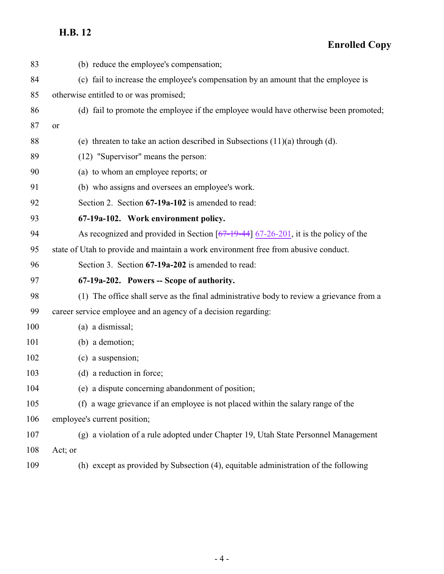**Enrolled Copy**

<span id="page-25-1"></span><span id="page-25-0"></span>

| 83  | (b) reduce the employee's compensation;                                                  |
|-----|------------------------------------------------------------------------------------------|
| 84  | (c) fail to increase the employee's compensation by an amount that the employee is       |
| 85  | otherwise entitled to or was promised;                                                   |
| 86  | (d) fail to promote the employee if the employee would have otherwise been promoted;     |
| 87  | or                                                                                       |
| 88  | (e) threaten to take an action described in Subsections $(11)(a)$ through $(d)$ .        |
| 89  | (12) "Supervisor" means the person:                                                      |
| 90  | (a) to whom an employee reports; or                                                      |
| 91  | (b) who assigns and oversees an employee's work.                                         |
| 92  | Section 2. Section 67-19a-102 is amended to read:                                        |
| 93  | 67-19a-102. Work environment policy.                                                     |
| 94  | As recognized and provided in Section $[67-19-44]$ 67-26-201, it is the policy of the    |
| 95  | state of Utah to provide and maintain a work environment free from abusive conduct.      |
| 96  | Section 3. Section 67-19a-202 is amended to read:                                        |
| 97  | 67-19a-202. Powers -- Scope of authority.                                                |
| 98  | (1) The office shall serve as the final administrative body to review a grievance from a |
| 99  | career service employee and an agency of a decision regarding:                           |
| 100 | (a) a dismissal;                                                                         |
| 101 | (b) a demotion;                                                                          |
| 102 | (c) a suspension;                                                                        |
| 103 | (d) a reduction in force;                                                                |
| 104 | (e) a dispute concerning abandonment of position;                                        |
| 105 | (f) a wage grievance if an employee is not placed within the salary range of the         |
| 106 | employee's current position;                                                             |
| 107 | (g) a violation of a rule adopted under Chapter 19, Utah State Personnel Management      |
| 108 | Act; or                                                                                  |
| 109 | (h) except as provided by Subsection (4), equitable administration of the following      |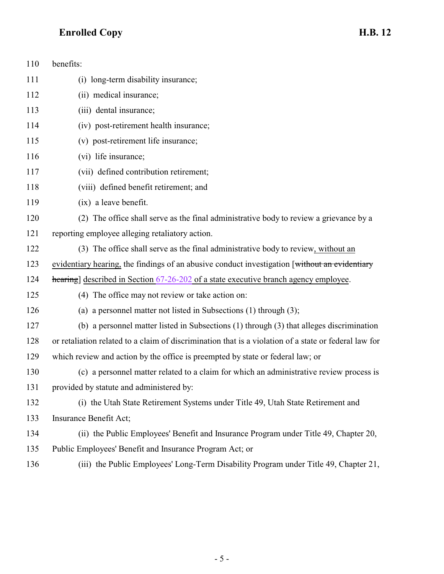| 110 | benefits:                                                                                             |
|-----|-------------------------------------------------------------------------------------------------------|
| 111 | (i) long-term disability insurance;                                                                   |
| 112 | (ii) medical insurance;                                                                               |
| 113 | (iii) dental insurance;                                                                               |
| 114 | (iv) post-retirement health insurance;                                                                |
| 115 | (v) post-retirement life insurance;                                                                   |
| 116 | (vi) life insurance;                                                                                  |
| 117 | (vii) defined contribution retirement;                                                                |
| 118 | (viii) defined benefit retirement; and                                                                |
| 119 | (ix) a leave benefit.                                                                                 |
| 120 | (2) The office shall serve as the final administrative body to review a grievance by a                |
| 121 | reporting employee alleging retaliatory action.                                                       |
| 122 | (3) The office shall serve as the final administrative body to review, without an                     |
| 123 | evidentiary hearing, the findings of an abusive conduct investigation [without an evidentiary         |
| 124 | hearing] described in Section 67-26-202 of a state executive branch agency employee.                  |
| 125 | (4) The office may not review or take action on:                                                      |
| 126 | (a) a personnel matter not listed in Subsections (1) through (3);                                     |
| 127 | (b) a personnel matter listed in Subsections (1) through (3) that alleges discrimination              |
| 128 | or retaliation related to a claim of discrimination that is a violation of a state or federal law for |
| 129 | which review and action by the office is preempted by state or federal law; or                        |
| 130 | (c) a personnel matter related to a claim for which an administrative review process is               |
| 131 | provided by statute and administered by:                                                              |
| 132 | (i) the Utah State Retirement Systems under Title 49, Utah State Retirement and                       |
| 133 | Insurance Benefit Act;                                                                                |
| 134 | (ii) the Public Employees' Benefit and Insurance Program under Title 49, Chapter 20,                  |
| 135 | Public Employees' Benefit and Insurance Program Act; or                                               |

(iii) the Public Employees' Long-Term Disability Program under Title 49, Chapter 21,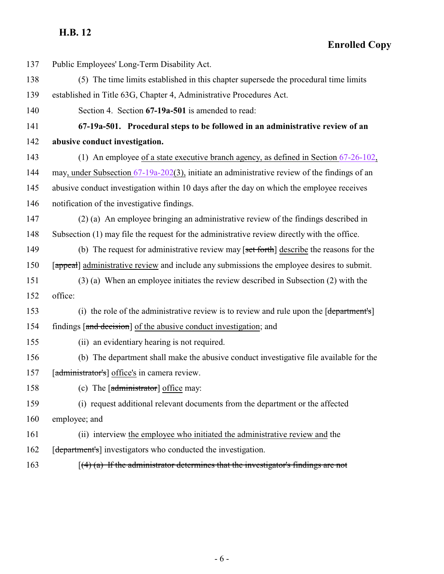<span id="page-27-0"></span>**Enrolled Copy**

| 137 | Public Employees' Long-Term Disability Act.                                                   |
|-----|-----------------------------------------------------------------------------------------------|
| 138 | (5) The time limits established in this chapter supersede the procedural time limits          |
| 139 | established in Title 63G, Chapter 4, Administrative Procedures Act.                           |
| 140 | Section 4. Section 67-19a-501 is amended to read:                                             |
| 141 | 67-19a-501. Procedural steps to be followed in an administrative review of an                 |
| 142 | abusive conduct investigation.                                                                |
| 143 | (1) An employee of a state executive branch agency, as defined in Section $67-26-102$ ,       |
| 144 | may, under Subsection 67-19a-202(3), initiate an administrative review of the findings of an  |
| 145 | abusive conduct investigation within 10 days after the day on which the employee receives     |
| 146 | notification of the investigative findings.                                                   |
| 147 | (2) (a) An employee bringing an administrative review of the findings described in            |
| 148 | Subsection (1) may file the request for the administrative review directly with the office.   |
| 149 | (b) The request for administrative review may $\lceil$ set forth describe the reasons for the |
| 150 | [appeal] administrative review and include any submissions the employee desires to submit.    |
| 151 | (3) (a) When an employee initiates the review described in Subsection (2) with the            |
| 152 | office:                                                                                       |
| 153 | (i) the role of the administrative review is to review and rule upon the [department's]       |
| 154 | findings [and decision] of the abusive conduct investigation; and                             |
| 155 | (ii) an evidentiary hearing is not required.                                                  |
| 156 | (b) The department shall make the abusive conduct investigative file available for the        |
| 157 | [administrator's] office's in camera review.                                                  |
| 158 | (c) The [administrator] office may:                                                           |
| 159 | (i) request additional relevant documents from the department or the affected                 |
| 160 | employee; and                                                                                 |
| 161 | (ii) interview the employee who initiated the administrative review and the                   |
| 162 | [department's] investigators who conducted the investigation.                                 |
| 163 | $(4)$ (a) If the administrator determines that the investigator's findings are not            |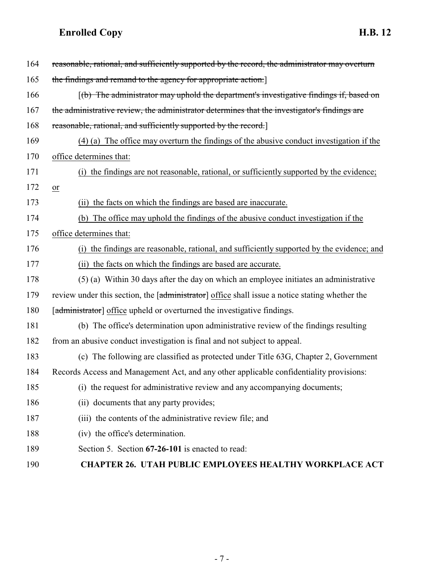<span id="page-28-0"></span>

| 164 | reasonable, rational, and sufficiently supported by the record, the administrator may overturn               |
|-----|--------------------------------------------------------------------------------------------------------------|
| 165 | the findings and remand to the agency for appropriate action.                                                |
| 166 | $\left[\frac{b}{b}\right]$ The administrator may uphold the department's investigative findings if, based on |
| 167 | the administrative review, the administrator determines that the investigator's findings are                 |
| 168 | reasonable, rational, and sufficiently supported by the record.                                              |
| 169 | (4) (a) The office may overturn the findings of the abusive conduct investigation if the                     |
| 170 | office determines that:                                                                                      |
| 171 | (i) the findings are not reasonable, rational, or sufficiently supported by the evidence;                    |
| 172 | $or$                                                                                                         |
| 173 | the facts on which the findings are based are inaccurate.<br>(i)                                             |
| 174 | (b) The office may uphold the findings of the abusive conduct investigation if the                           |
| 175 | office determines that:                                                                                      |
| 176 | (i) the findings are reasonable, rational, and sufficiently supported by the evidence; and                   |
| 177 | (ii) the facts on which the findings are based are accurate.                                                 |
| 178 | (5) (a) Within 30 days after the day on which an employee initiates an administrative                        |
| 179 | review under this section, the [administrator] office shall issue a notice stating whether the               |
| 180 | [administrator] office upheld or overturned the investigative findings.                                      |
| 181 | (b) The office's determination upon administrative review of the findings resulting                          |
| 182 | from an abusive conduct investigation is final and not subject to appeal.                                    |
| 183 | (c) The following are classified as protected under Title 63G, Chapter 2, Government                         |
| 184 | Records Access and Management Act, and any other applicable confidentiality provisions:                      |
| 185 | (i) the request for administrative review and any accompanying documents;                                    |
| 186 | (ii) documents that any party provides;                                                                      |
| 187 | (iii) the contents of the administrative review file; and                                                    |
| 188 | (iv) the office's determination.                                                                             |
| 189 | Section 5. Section 67-26-101 is enacted to read:                                                             |
| 190 | <b>CHAPTER 26. UTAH PUBLIC EMPLOYEES HEALTHY WORKPLACE ACT</b>                                               |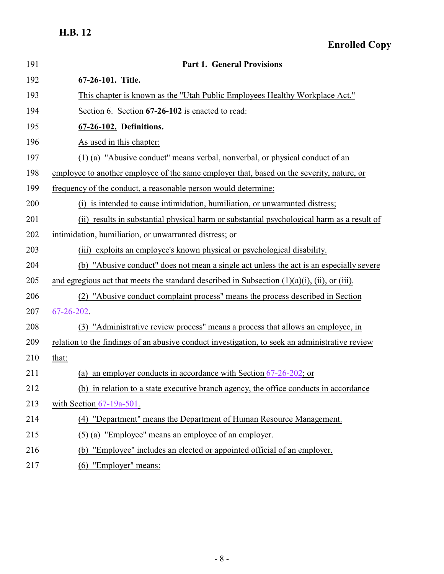<span id="page-29-0"></span>

| 191 | <b>Part 1. General Provisions</b>                                                                     |
|-----|-------------------------------------------------------------------------------------------------------|
| 192 | 67-26-101. Title.                                                                                     |
| 193 | This chapter is known as the "Utah Public Employees Healthy Workplace Act."                           |
| 194 | Section 6. Section 67-26-102 is enacted to read:                                                      |
| 195 | 67-26-102. Definitions.                                                                               |
| 196 | As used in this chapter:                                                                              |
| 197 | (1) (a) "Abusive conduct" means verbal, nonverbal, or physical conduct of an                          |
| 198 | employee to another employee of the same employer that, based on the severity, nature, or             |
| 199 | frequency of the conduct, a reasonable person would determine:                                        |
| 200 | (i) is intended to cause intimidation, humiliation, or unwarranted distress;                          |
| 201 | (ii) results in substantial physical harm or substantial psychological harm as a result of            |
| 202 | intimidation, humiliation, or unwarranted distress; or                                                |
| 203 | exploits an employee's known physical or psychological disability.<br>(iii)                           |
| 204 | (b) "Abusive conduct" does not mean a single act unless the act is an especially severe               |
| 205 | and egregious act that meets the standard described in Subsection $(1)(a)(i)$ , $(ii)$ , or $(iii)$ . |
| 206 | "Abusive conduct complaint process" means the process described in Section                            |
| 207 | 67-26-202.                                                                                            |
| 208 | (3) "Administrative review process" means a process that allows an employee, in                       |
| 209 | relation to the findings of an abusive conduct investigation, to seek an administrative review        |
| 210 | that:                                                                                                 |
| 211 | (a) an employer conducts in accordance with Section $67-26-202$ ; or                                  |
| 212 | (b) in relation to a state executive branch agency, the office conducts in accordance                 |
| 213 | with Section $67-19a-501$ .                                                                           |
| 214 | (4) "Department" means the Department of Human Resource Management.                                   |
| 215 | (5) (a) "Employee" means an employee of an employer.                                                  |
| 216 | "Employee" includes an elected or appointed official of an employer.<br>(b)                           |
| 217 | "Employer" means:<br>(6)                                                                              |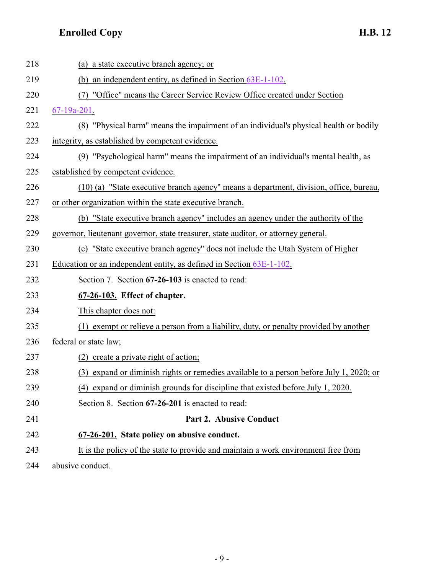| 218 | (a) a state executive branch agency; or                                                    |
|-----|--------------------------------------------------------------------------------------------|
| 219 | (b) an independent entity, as defined in Section 63E-1-102.                                |
| 220 | "Office" means the Career Service Review Office created under Section                      |
| 221 | $67 - 19a - 201$ .                                                                         |
| 222 | (8) "Physical harm" means the impairment of an individual's physical health or bodily      |
| 223 | integrity, as established by competent evidence.                                           |
| 224 | (9) "Psychological harm" means the impairment of an individual's mental health, as         |
| 225 | established by competent evidence.                                                         |
| 226 | (10) (a) "State executive branch agency" means a department, division, office, bureau,     |
| 227 | or other organization within the state executive branch.                                   |
| 228 | (b) "State executive branch agency" includes an agency under the authority of the          |
| 229 | governor, lieutenant governor, state treasurer, state auditor, or attorney general.        |
| 230 | "State executive branch agency" does not include the Utah System of Higher<br>(c)          |
| 231 | Education or an independent entity, as defined in Section 63E-1-102.                       |
| 232 | Section 7. Section 67-26-103 is enacted to read:                                           |
| 233 | 67-26-103. Effect of chapter.                                                              |
| 234 | This chapter does not:                                                                     |
| 235 | exempt or relieve a person from a liability, duty, or penalty provided by another<br>(1)   |
| 236 | federal or state law;                                                                      |
| 237 | create a private right of action;<br>(2)                                                   |
| 238 | expand or diminish rights or remedies available to a person before July 1, 2020; or<br>(3) |
| 239 | (4) expand or diminish grounds for discipline that existed before July 1, 2020.            |
| 240 | Section 8. Section 67-26-201 is enacted to read:                                           |
| 241 | Part 2. Abusive Conduct                                                                    |
| 242 | 67-26-201. State policy on abusive conduct.                                                |
| 243 | It is the policy of the state to provide and maintain a work environment free from         |
| 211 | ohygiya qonduqt                                                                            |

<span id="page-30-1"></span><span id="page-30-0"></span>244 abusive conduct.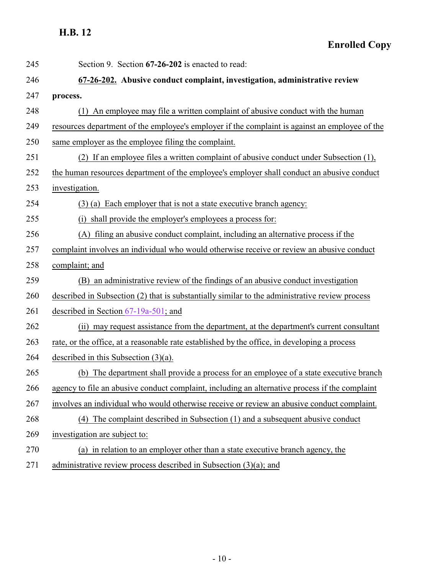<span id="page-31-0"></span>**Enrolled Copy**

| 245 | Section 9. Section 67-26-202 is enacted to read:                                               |
|-----|------------------------------------------------------------------------------------------------|
| 246 | 67-26-202. Abusive conduct complaint, investigation, administrative review                     |
| 247 | process.                                                                                       |
| 248 | (1) An employee may file a written complaint of abusive conduct with the human                 |
| 249 | resources department of the employee's employer if the complaint is against an employee of the |
| 250 | same employer as the employee filing the complaint.                                            |
| 251 | (2) If an employee files a written complaint of abusive conduct under Subsection (1),          |
| 252 | the human resources department of the employee's employer shall conduct an abusive conduct     |
| 253 | investigation.                                                                                 |
| 254 | (3) (a) Each employer that is not a state executive branch agency:                             |
| 255 | (i) shall provide the employer's employees a process for:                                      |
| 256 | (A) filing an abusive conduct complaint, including an alternative process if the               |
| 257 | complaint involves an individual who would otherwise receive or review an abusive conduct      |
| 258 | complaint; and                                                                                 |
| 259 | (B) an administrative review of the findings of an abusive conduct investigation               |
| 260 | described in Subsection (2) that is substantially similar to the administrative review process |
| 261 | described in Section $67-19a-501$ ; and                                                        |
| 262 | (ii) may request assistance from the department, at the department's current consultant        |
| 263 | rate, or the office, at a reasonable rate established by the office, in developing a process   |
| 264 | described in this Subsection $(3)(a)$ .                                                        |
| 265 | The department shall provide a process for an employee of a state executive branch<br>(b)      |
| 266 | agency to file an abusive conduct complaint, including an alternative process if the complaint |
| 267 | involves an individual who would otherwise receive or review an abusive conduct complaint.     |
| 268 | (4) The complaint described in Subsection (1) and a subsequent abusive conduct                 |
| 269 | investigation are subject to:                                                                  |
| 270 | (a) in relation to an employer other than a state executive branch agency, the                 |
| 271 | administrative review process described in Subsection $(3)(a)$ ; and                           |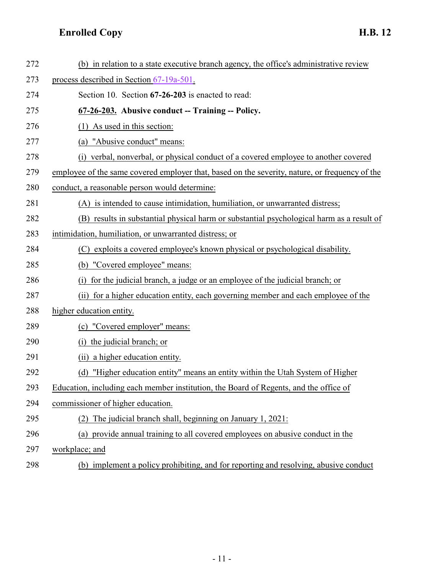<span id="page-32-0"></span>

| 272 | (b) in relation to a state executive branch agency, the office's administrative review         |
|-----|------------------------------------------------------------------------------------------------|
| 273 | process described in Section 67-19a-501.                                                       |
| 274 | Section 10. Section 67-26-203 is enacted to read:                                              |
| 275 | 67-26-203. Abusive conduct -- Training -- Policy.                                              |
| 276 | As used in this section:<br>(1)                                                                |
| 277 | "Abusive conduct" means:<br>(a)                                                                |
| 278 | (i) verbal, nonverbal, or physical conduct of a covered employee to another covered            |
| 279 | employee of the same covered employer that, based on the severity, nature, or frequency of the |
| 280 | conduct, a reasonable person would determine:                                                  |
| 281 | (A) is intended to cause intimidation, humiliation, or unwarranted distress;                   |
| 282 | (B) results in substantial physical harm or substantial psychological harm as a result of      |
| 283 | intimidation, humiliation, or unwarranted distress; or                                         |
| 284 | (C) exploits a covered employee's known physical or psychological disability.                  |
| 285 | (b) "Covered employee" means:                                                                  |
| 286 | for the judicial branch, a judge or an employee of the judicial branch; or                     |
| 287 | (ii) for a higher education entity, each governing member and each employee of the             |
| 288 | higher education entity.                                                                       |
| 289 | (c) "Covered employer" means:                                                                  |
| 290 | the judicial branch; or<br>(i)                                                                 |
| 291 | (ii) a higher education entity.                                                                |
| 292 | "Higher education entity" means an entity within the Utah System of Higher<br>(d)              |
| 293 | Education, including each member institution, the Board of Regents, and the office of          |
| 294 | commissioner of higher education.                                                              |
| 295 | (2) The judicial branch shall, beginning on January 1, 2021:                                   |
| 296 | (a) provide annual training to all covered employees on abusive conduct in the                 |
| 297 | workplace; and                                                                                 |
| 298 | (b) implement a policy prohibiting, and for reporting and resolving, abusive conduct           |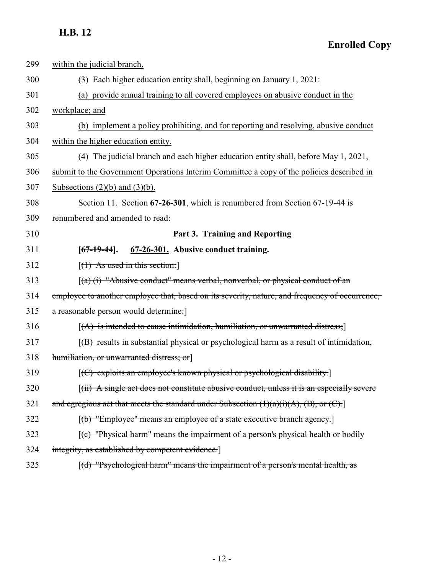**Enrolled Copy**

<span id="page-33-0"></span>

| 299 | within the judicial branch.                                                                            |
|-----|--------------------------------------------------------------------------------------------------------|
| 300 | (3) Each higher education entity shall, beginning on January 1, 2021:                                  |
| 301 | (a) provide annual training to all covered employees on abusive conduct in the                         |
| 302 | workplace; and                                                                                         |
| 303 | (b) implement a policy prohibiting, and for reporting and resolving, abusive conduct                   |
| 304 | within the higher education entity.                                                                    |
| 305 | (4) The judicial branch and each higher education entity shall, before May 1, 2021,                    |
| 306 | submit to the Government Operations Interim Committee a copy of the policies described in              |
| 307 | Subsections $(2)(b)$ and $(3)(b)$ .                                                                    |
| 308 | Section 11. Section 67-26-301, which is renumbered from Section 67-19-44 is                            |
| 309 | renumbered and amended to read:                                                                        |
| 310 | Part 3. Training and Reporting                                                                         |
| 311 | 67-26-301. Abusive conduct training.<br>$[67-19-44]$ .                                                 |
| 312 | $[(1)$ As used in this section:                                                                        |
| 313 | $(a)$ (i) "Abusive conduct" means verbal, nonverbal, or physical conduct of an                         |
| 314 | employee to another employee that, based on its severity, nature, and frequency of occurrence,         |
| 315 | a reasonable person would determine.]                                                                  |
| 316 | $[(A)$ is intended to cause intimidation, humiliation, or unwarranted distress;                        |
| 317 | [(B) results in substantial physical or psychological harm as a result of intimidation,                |
| 318 | humiliation, or unwarranted distress; or                                                               |
| 319 | $[ (C)$ exploits an employee's known physical or psychological disability.                             |
| 320 | [(ii) A single act does not constitute abusive conduct, unless it is an especially severe              |
| 321 | and egregious act that meets the standard under Subsection $(1)(a)(i)(A)$ , $(B)$ , or $(C)$ .         |
| 322 | [(b) "Employee" means an employee of a state executive branch agency.]                                 |
| 323 | $\left[\text{(c)}\right]$ "Physical harm" means the impairment of a person's physical health or bodily |
| 324 | integrity, as established by competent evidence.]                                                      |
| 325 | [(d) "Psychological harm" means the impairment of a person's mental health, as                         |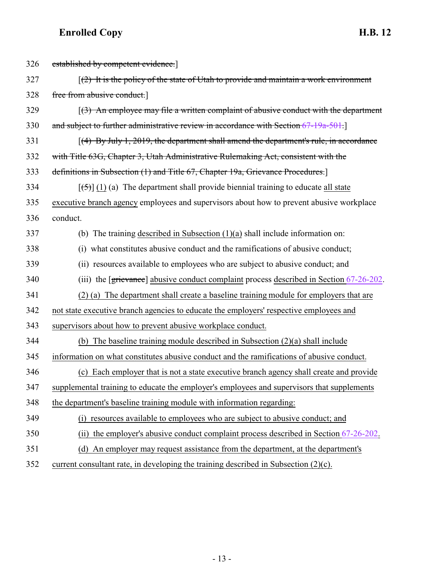| 326 | established by competent evidence.                                                                       |
|-----|----------------------------------------------------------------------------------------------------------|
| 327 | $\lceil$ (2) It is the policy of the state of Utah to provide and maintain a work environment            |
| 328 | free from abusive conduct.]                                                                              |
| 329 | $(3)$ An employee may file a written complaint of abusive conduct with the department                    |
| 330 | and subject to further administrative review in accordance with Section 67-19a-501.                      |
| 331 | $(4)$ By July 1, 2019, the department shall amend the department's rule, in accordance                   |
| 332 | with Title 63G, Chapter 3, Utah Administrative Rulemaking Act, consistent with the                       |
| 333 | definitions in Subsection (1) and Title 67, Chapter 19a, Grievance Procedures.                           |
| 334 | $[\frac{1}{2}, \frac{1}{2}]$ (1) (a) The department shall provide biennial training to educate all state |
| 335 | executive branch agency employees and supervisors about how to prevent abusive workplace                 |
| 336 | conduct.                                                                                                 |
| 337 | (b) The training described in Subsection $(1)(a)$ shall include information on:                          |
| 338 | (i) what constitutes abusive conduct and the ramifications of abusive conduct;                           |
| 339 | (ii) resources available to employees who are subject to abusive conduct; and                            |
| 340 | (iii) the [grievance] abusive conduct complaint process described in Section 67-26-202.                  |
| 341 | (2) (a) The department shall create a baseline training module for employers that are                    |
| 342 | not state executive branch agencies to educate the employers' respective employees and                   |
| 343 | supervisors about how to prevent abusive workplace conduct.                                              |
| 344 | (b) The baseline training module described in Subsection $(2)(a)$ shall include                          |
| 345 | information on what constitutes abusive conduct and the ramifications of abusive conduct.                |
| 346 | (c) Each employer that is not a state executive branch agency shall create and provide                   |
| 347 | supplemental training to educate the employer's employees and supervisors that supplements               |
| 348 | the department's baseline training module with information regarding:                                    |
| 349 | (i) resources available to employees who are subject to abusive conduct; and                             |
| 350 | the employer's abusive conduct complaint process described in Section 67-26-202.<br>(ii)                 |
| 351 | (d) An employer may request assistance from the department, at the department's                          |
| 352 | current consultant rate, in developing the training described in Subsection (2)(c).                      |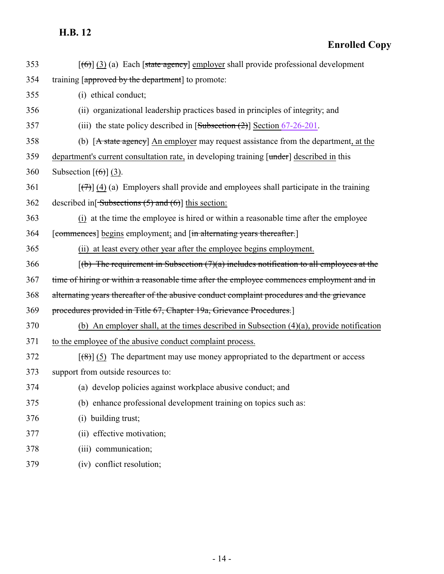**Enrolled Copy**

| 353 | $[\text{(\theta)}]$ (3) (a) Each [state agency] employer shall provide professional development          |
|-----|----------------------------------------------------------------------------------------------------------|
| 354 | training [approved by the department] to promote:                                                        |
| 355 | (i) ethical conduct;                                                                                     |
| 356 | (ii) organizational leadership practices based in principles of integrity; and                           |
| 357 | (iii) the state policy described in $[Subsection (2)]$ Section 67-26-201.                                |
| 358 | (b) [A state agency] An employer may request assistance from the department, at the                      |
| 359 | department's current consultation rate, in developing training [under] described in this                 |
| 360 | Subsection $[(6)]$ (3).                                                                                  |
| 361 | $[\overline{(\tau)}]$ (4) (a) Employers shall provide and employees shall participate in the training    |
| 362 | described in $\left[ \frac{\text{Subsections}(\frac{1}{2})}{\text{and } (\theta)} \right]$ this section: |
| 363 | (i) at the time the employee is hired or within a reasonable time after the employee                     |
| 364 | [commences] begins employment; and [in alternating years thereafter.]                                    |
| 365 | (ii) at least every other year after the employee begins employment.                                     |
| 366 | $(6)$ The requirement in Subsection $(7)(a)$ includes notification to all employees at the               |
| 367 | time of hiring or within a reasonable time after the employee commences employment and in                |
| 368 | alternating years thereafter of the abusive conduct complaint procedures and the grievance               |
| 369 | procedures provided in Title 67, Chapter 19a, Grievance Procedures.]                                     |
| 370 | (b) An employer shall, at the times described in Subsection $(4)(a)$ , provide notification              |
| 371 | to the employee of the abusive conduct complaint process.                                                |
| 372 | $\lceil$ (8)] (5) The department may use money appropriated to the department or access                  |
| 373 | support from outside resources to:                                                                       |
| 374 | (a) develop policies against workplace abusive conduct; and                                              |
| 375 | (b) enhance professional development training on topics such as:                                         |
| 376 | (i) building trust;                                                                                      |
| 377 | (ii) effective motivation;                                                                               |
| 378 | (iii) communication;                                                                                     |
| 379 | (iv) conflict resolution;                                                                                |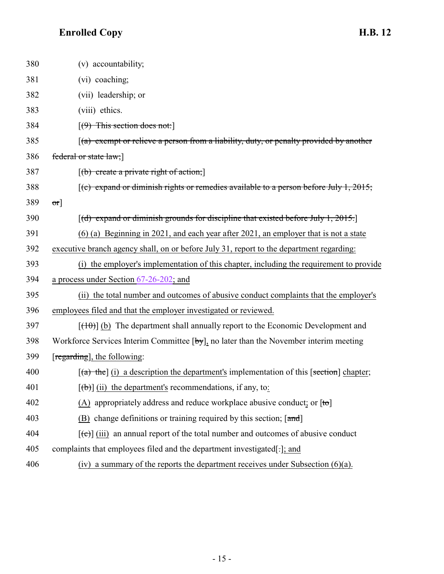| 380 | (v) accountability;                                                                            |
|-----|------------------------------------------------------------------------------------------------|
| 381 | (vi) coaching;                                                                                 |
| 382 | (vii) leadership; or                                                                           |
| 383 | (viii) ethics.                                                                                 |
| 384 | $(9)$ This section does not:                                                                   |
| 385 | $(a)$ exempt or relieve a person from a liability, duty, or penalty provided by another        |
| 386 | federal or state law;]                                                                         |
| 387 | $[(b) create a private right of action.]$                                                      |
| 388 | [(c) expand or diminish rights or remedies available to a person before July 1, 2015;          |
| 389 | $\sigma$ r]                                                                                    |
| 390 | $[(d)$ expand or diminish grounds for discipline that existed before July 1, 2015.             |
| 391 | $(6)$ (a) Beginning in 2021, and each year after 2021, an employer that is not a state         |
| 392 | executive branch agency shall, on or before July 31, report to the department regarding:       |
| 393 | (i) the employer's implementation of this chapter, including the requirement to provide        |
| 394 | a process under Section 67-26-202; and                                                         |
| 395 | (ii) the total number and outcomes of abusive conduct complaints that the employer's           |
| 396 | employees filed and that the employer investigated or reviewed.                                |
| 397 | $[\frac{(10)}{(10)}]$ (b) The department shall annually report to the Economic Development and |
| 398 | Workforce Services Interim Committee [by], no later than the November interim meeting          |
| 399 | [regarding], the following:                                                                    |
| 400 | $[(a)$ the] (i) a description the department's implementation of this [section] chapter;       |
| 401 | $[\phi]$ (ii) the department's recommendations, if any, to:                                    |
| 402 | (A) appropriately address and reduce workplace abusive conduct; or $[to]$                      |
| 403 | (B) change definitions or training required by this section; $[\text{and}]$                    |
| 404 | $[\text{e}^{-}]$ (iii) an annual report of the total number and outcomes of abusive conduct    |
| 405 | complaints that employees filed and the department investigated[-]; and                        |
| 406 | (iv) a summary of the reports the department receives under Subsection $(6)(a)$ .              |